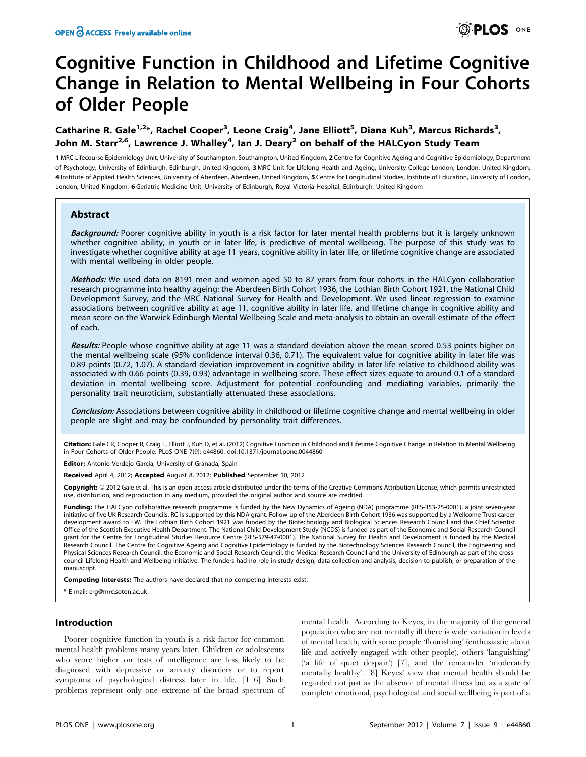# Cognitive Function in Childhood and Lifetime Cognitive Change in Relation to Mental Wellbeing in Four Cohorts of Older People

## Catharine R. Gale<sup>1,2</sup>\*, Rachel Cooper<sup>3</sup>, Leone Craig<sup>4</sup>, Jane Elliott<sup>5</sup>, Diana Kuh<sup>3</sup>, Marcus Richards<sup>3</sup>, John M. Starr<sup>2,6</sup>, Lawrence J. Whalley<sup>4</sup>, Ian J. Deary<sup>2</sup> on behalf of the HALCyon Study Team

1 MRC Lifecourse Epidemiology Unit, University of Southampton, Southampton, United Kingdom, 2 Centre for Cognitive Ageing and Cognitive Epidemiology, Department of Psychology, University of Edinburgh, Edinburgh, United Kingdom, 3 MRC Unit for Lifelong Health and Ageing, University College London, London, United Kingdom, 4 Institute of Applied Health Sciences, University of Aberdeen, Aberdeen, United Kingdom, 5 Centre for Longitudinal Studies, Institute of Education, University of London, London, United Kingdom, 6 Geriatric Medicine Unit, University of Edinburgh, Royal Victoria Hospital, Edinburgh, United Kingdom

## Abstract

Background: Poorer cognitive ability in youth is a risk factor for later mental health problems but it is largely unknown whether cognitive ability, in youth or in later life, is predictive of mental wellbeing. The purpose of this study was to investigate whether cognitive ability at age 11 years, cognitive ability in later life, or lifetime cognitive change are associated with mental wellbeing in older people.

Methods: We used data on 8191 men and women aged 50 to 87 years from four cohorts in the HALCyon collaborative research programme into healthy ageing: the Aberdeen Birth Cohort 1936, the Lothian Birth Cohort 1921, the National Child Development Survey, and the MRC National Survey for Health and Development. We used linear regression to examine associations between cognitive ability at age 11, cognitive ability in later life, and lifetime change in cognitive ability and mean score on the Warwick Edinburgh Mental Wellbeing Scale and meta-analysis to obtain an overall estimate of the effect of each.

Results: People whose cognitive ability at age 11 was a standard deviation above the mean scored 0.53 points higher on the mental wellbeing scale (95% confidence interval 0.36, 0.71). The equivalent value for cognitive ability in later life was 0.89 points (0.72, 1.07). A standard deviation improvement in cognitive ability in later life relative to childhood ability was associated with 0.66 points (0.39, 0.93) advantage in wellbeing score. These effect sizes equate to around 0.1 of a standard deviation in mental wellbeing score. Adjustment for potential confounding and mediating variables, primarily the personality trait neuroticism, substantially attenuated these associations.

Conclusion: Associations between cognitive ability in childhood or lifetime cognitive change and mental wellbeing in older people are slight and may be confounded by personality trait differences.

Citation: Gale CR, Cooper R, Craig L, Elliott J, Kuh D, et al. (2012) Cognitive Function in Childhood and Lifetime Cognitive Change in Relation to Mental Wellbeing in Four Cohorts of Older People. PLoS ONE 7(9): e44860. doi:10.1371/journal.pone.0044860

Editor: Antonio Verdejo García, University of Granada, Spain

Received April 4, 2012; Accepted August 8, 2012; Published September 10, 2012

**Copyright:** © 2012 Gale et al. This is an open-access article distributed under the terms of the Creative Commons Attribution License, which permits unrestricted use, distribution, and reproduction in any medium, provided the original author and source are credited.

Funding: The HALCyon collaborative research programme is funded by the New Dynamics of Ageing (NDA) programme (RES-353-25-0001), a joint seven-year initiative of five UK Research Councils. RC is supported by this NDA grant. Follow-up of the Aberdeen Birth Cohort 1936 was supported by a Wellcome Trust career development award to LW. The Lothian Birth Cohort 1921 was funded by the Biotechnology and Biological Sciences Research Council and the Chief Scientist Office of the Scottish Executive Health Department. The National Child Development Study (NCDS) is funded as part of the Economic and Social Research Council grant for the Centre for Longitudinal Studies Resource Centre (RES-579-47-0001). The National Survey for Health and Development is funded by the Medical Research Council. The Centre for Cognitive Ageing and Cognitive Epidemiology is funded by the Biotechnology Sciences Research Council, the Engineering and Physical Sciences Research Council, the Economic and Social Research Council, the Medical Research Council and the University of Edinburgh as part of the crosscouncil Lifelong Health and Wellbeing initiative. The funders had no role in study design, data collection and analysis, decision to publish, or preparation of the manuscript.

Competing Interests: The authors have declared that no competing interests exist.

\* E-mail: crg@mrc.soton.ac.uk

## Introduction

Poorer cognitive function in youth is a risk factor for common mental health problems many years later. Children or adolescents who score higher on tests of intelligence are less likely to be diagnosed with depressive or anxiety disorders or to report symptoms of psychological distress later in life. [1–6] Such problems represent only one extreme of the broad spectrum of mental health. According to Keyes, in the majority of the general population who are not mentally ill there is wide variation in levels of mental health, with some people 'flourishing' (enthusiastic about life and actively engaged with other people), others 'languishing' ('a life of quiet despair') [7], and the remainder 'moderately mentally healthy'. [8] Keyes' view that mental health should be regarded not just as the absence of mental illness but as a state of complete emotional, psychological and social wellbeing is part of a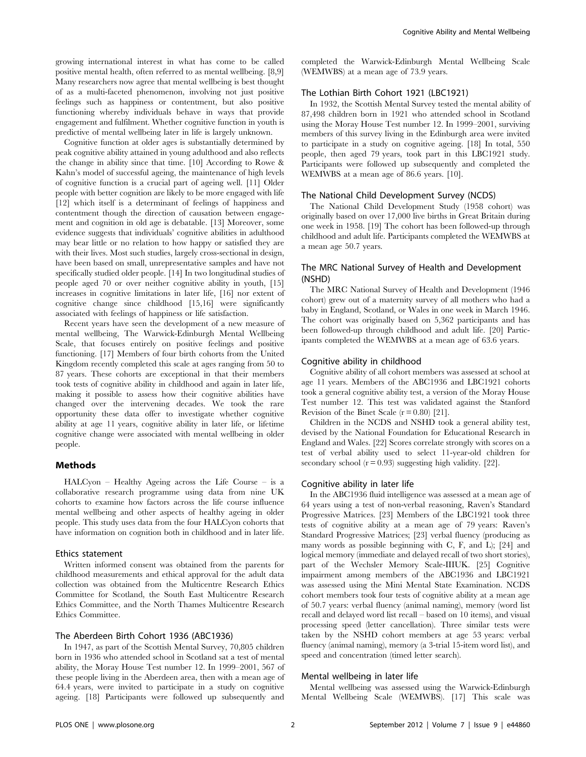growing international interest in what has come to be called positive mental health, often referred to as mental wellbeing. [8,9] Many researchers now agree that mental wellbeing is best thought of as a multi-faceted phenomenon, involving not just positive feelings such as happiness or contentment, but also positive functioning whereby individuals behave in ways that provide engagement and fulfilment. Whether cognitive function in youth is predictive of mental wellbeing later in life is largely unknown.

Cognitive function at older ages is substantially determined by peak cognitive ability attained in young adulthood and also reflects the change in ability since that time. [10] According to Rowe & Kahn's model of successful ageing, the maintenance of high levels of cognitive function is a crucial part of ageing well. [11] Older people with better cognition are likely to be more engaged with life [12] which itself is a determinant of feelings of happiness and contentment though the direction of causation between engagement and cognition in old age is debatable. [13] Moreover, some evidence suggests that individuals' cognitive abilities in adulthood may bear little or no relation to how happy or satisfied they are with their lives. Most such studies, largely cross-sectional in design, have been based on small, unrepresentative samples and have not specifically studied older people. [14] In two longitudinal studies of people aged 70 or over neither cognitive ability in youth, [15] increases in cognitive limitations in later life, [16] nor extent of cognitive change since childhood [15,16] were significantly associated with feelings of happiness or life satisfaction.

Recent years have seen the development of a new measure of mental wellbeing, The Warwick-Edinburgh Mental Wellbeing Scale, that focuses entirely on positive feelings and positive functioning. [17] Members of four birth cohorts from the United Kingdom recently completed this scale at ages ranging from 50 to 87 years. These cohorts are exceptional in that their members took tests of cognitive ability in childhood and again in later life, making it possible to assess how their cognitive abilities have changed over the intervening decades. We took the rare opportunity these data offer to investigate whether cognitive ability at age 11 years, cognitive ability in later life, or lifetime cognitive change were associated with mental wellbeing in older people.

## Methods

HALCyon – Healthy Ageing across the Life Course – is a collaborative research programme using data from nine UK cohorts to examine how factors across the life course influence mental wellbeing and other aspects of healthy ageing in older people. This study uses data from the four HALCyon cohorts that have information on cognition both in childhood and in later life.

## Ethics statement

Written informed consent was obtained from the parents for childhood measurements and ethical approval for the adult data collection was obtained from the Multicentre Research Ethics Committee for Scotland, the South East Multicentre Research Ethics Committee, and the North Thames Multicentre Research Ethics Committee.

## The Aberdeen Birth Cohort 1936 (ABC1936)

In 1947, as part of the Scottish Mental Survey, 70,805 children born in 1936 who attended school in Scotland sat a test of mental ability, the Moray House Test number 12. In 1999–2001, 567 of these people living in the Aberdeen area, then with a mean age of 64.4 years, were invited to participate in a study on cognitive ageing. [18] Participants were followed up subsequently and completed the Warwick-Edinburgh Mental Wellbeing Scale (WEMWBS) at a mean age of 73.9 years.

## The Lothian Birth Cohort 1921 (LBC1921)

In 1932, the Scottish Mental Survey tested the mental ability of 87,498 children born in 1921 who attended school in Scotland using the Moray House Test number 12. In 1999–2001, surviving members of this survey living in the Edinburgh area were invited to participate in a study on cognitive ageing. [18] In total, 550 people, then aged 79 years, took part in this LBC1921 study. Participants were followed up subsequently and completed the WEMWBS at a mean age of 86.6 years. [10].

#### The National Child Development Survey (NCDS)

The National Child Development Study (1958 cohort) was originally based on over 17,000 live births in Great Britain during one week in 1958. [19] The cohort has been followed-up through childhood and adult life. Participants completed the WEMWBS at a mean age 50.7 years.

## The MRC National Survey of Health and Development (NSHD)

The MRC National Survey of Health and Development (1946 cohort) grew out of a maternity survey of all mothers who had a baby in England, Scotland, or Wales in one week in March 1946. The cohort was originally based on 5,362 participants and has been followed-up through childhood and adult life. [20] Participants completed the WEMWBS at a mean age of 63.6 years.

## Cognitive ability in childhood

Cognitive ability of all cohort members was assessed at school at age 11 years. Members of the ABC1936 and LBC1921 cohorts took a general cognitive ability test, a version of the Moray House Test number 12. This test was validated against the Stanford Revision of the Binet Scale  $(r = 0.80)$  [21].

Children in the NCDS and NSHD took a general ability test, devised by the National Foundation for Educational Research in England and Wales. [22] Scores correlate strongly with scores on a test of verbal ability used to select 11-year-old children for secondary school  $(r = 0.93)$  suggesting high validity. [22].

## Cognitive ability in later life

In the ABC1936 fluid intelligence was assessed at a mean age of 64 years using a test of non-verbal reasoning, Raven's Standard Progressive Matrices. [23] Members of the LBC1921 took three tests of cognitive ability at a mean age of 79 years: Raven's Standard Progressive Matrices; [23] verbal fluency (producing as many words as possible beginning with C, F, and L); [24] and logical memory (immediate and delayed recall of two short stories), part of the Wechsler Memory Scale-IIIUK. [25] Cognitive impairment among members of the ABC1936 and LBC1921 was assessed using the Mini Mental State Examination. NCDS cohort members took four tests of cognitive ability at a mean age of 50.7 years: verbal fluency (animal naming), memory (word list recall and delayed word list recall – based on 10 items), and visual processing speed (letter cancellation). Three similar tests were taken by the NSHD cohort members at age 53 years: verbal fluency (animal naming), memory (a 3-trial 15-item word list), and speed and concentration (timed letter search).

#### Mental wellbeing in later life

Mental wellbeing was assessed using the Warwick-Edinburgh Mental Wellbeing Scale (WEMWBS). [17] This scale was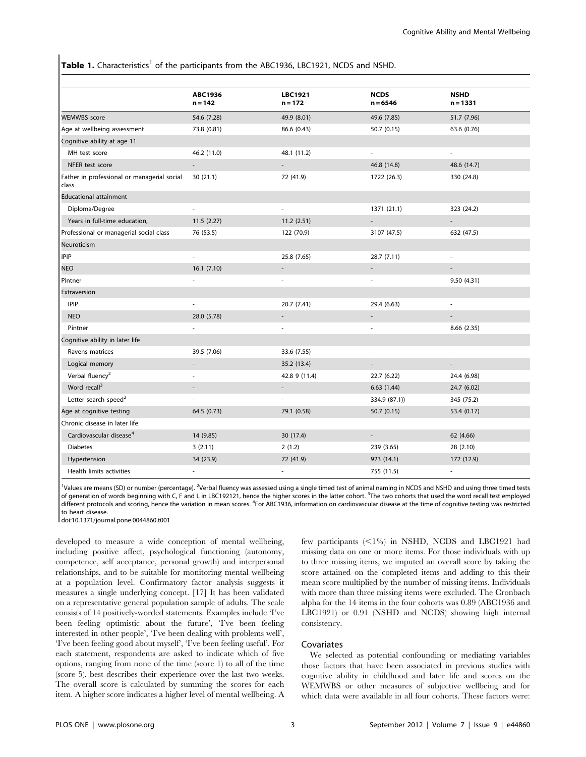## **Table 1.** Characteristics<sup>1</sup> of the participants from the ABC1936, LBC1921, NCDS and NSHD.

|                                                      | <b>ABC1936</b><br>$n = 142$ | <b>LBC1921</b><br>$n = 172$ | <b>NCDS</b><br>$n = 6546$ | <b>NSHD</b><br>$n = 1331$ |  |
|------------------------------------------------------|-----------------------------|-----------------------------|---------------------------|---------------------------|--|
| <b>WEMWBS</b> score                                  | 54.6 (7.28)                 | 49.9 (8.01)                 | 49.6 (7.85)               | 51.7 (7.96)               |  |
| Age at wellbeing assessment                          | 73.8 (0.81)                 | 86.6 (0.43)                 | 50.7(0.15)                | 63.6 (0.76)               |  |
| Cognitive ability at age 11                          |                             |                             |                           |                           |  |
| MH test score                                        | 46.2 (11.0)                 | 48.1 (11.2)                 | ä,                        | ÷,                        |  |
| NFER test score                                      | $\mathcal{L}_{\mathcal{A}}$ |                             | 46.8 (14.8)               | 48.6 (14.7)               |  |
| Father in professional or managerial social<br>class | 30(21.1)                    | 72 (41.9)                   | 1722 (26.3)               | 330 (24.8)                |  |
| <b>Educational attainment</b>                        |                             |                             |                           |                           |  |
| Diploma/Degree                                       | ÷,                          | ÷,                          | 1371 (21.1)               | 323 (24.2)                |  |
| Years in full-time education,                        | 11.5(2.27)                  | 11.2(2.51)                  |                           | ÷,                        |  |
| Professional or managerial social class              | 76 (53.5)                   | 122 (70.9)                  | 3107 (47.5)               | 632 (47.5)                |  |
| Neuroticism                                          |                             |                             |                           |                           |  |
| IPIP                                                 | L.                          | 25.8 (7.65)                 | 28.7 (7.11)               | ä,                        |  |
| <b>NEO</b>                                           | 16.1(7.10)                  |                             |                           |                           |  |
| Pintner                                              |                             |                             |                           | 9.50(4.31)                |  |
| Extraversion                                         |                             |                             |                           |                           |  |
| IPIP                                                 | $\overline{\phantom{a}}$    | 20.7 (7.41)                 | 29.4 (6.63)               | $\blacksquare$            |  |
| <b>NEO</b>                                           | 28.0 (5.78)                 |                             |                           |                           |  |
| Pintner                                              |                             |                             |                           | 8.66 (2.35)               |  |
| Cognitive ability in later life                      |                             |                             |                           |                           |  |
| Ravens matrices                                      | 39.5 (7.06)                 | 33.6 (7.55)                 | $\sim$                    | ä,                        |  |
| Logical memory                                       | $\overline{a}$              | 35.2 (13.4)                 | $\overline{a}$            | $\overline{\phantom{a}}$  |  |
| Verbal fluency <sup>2</sup>                          |                             | 42.8 9 (11.4)               | 22.7 (6.22)               | 24.4 (6.98)               |  |
| Word recall <sup>3</sup>                             | $\overline{a}$              | $\overline{\phantom{a}}$    | 6.63(1.44)                | 24.7 (6.02)               |  |
| Letter search speed <sup>2</sup>                     | ÷,                          | ä,                          | 334.9 (87.1))             | 345 (75.2)                |  |
| Age at cognitive testing                             | 64.5 (0.73)                 | 79.1 (0.58)                 | 50.7(0.15)                | 53.4 (0.17)               |  |
| Chronic disease in later life                        |                             |                             |                           |                           |  |
| Cardiovascular disease <sup>4</sup>                  | 14 (9.85)                   | 30 (17.4)                   | $\overline{\phantom{a}}$  | 62 (4.66)                 |  |
| <b>Diabetes</b>                                      | 3(2.11)                     | 2(1.2)                      | 239 (3.65)                | 28 (2.10)                 |  |
| Hypertension                                         | 34 (23.9)                   | 72 (41.9)                   | 923 (14.1)                | 172 (12.9)                |  |
| Health limits activities                             |                             |                             | 755 (11.5)                |                           |  |

<sup>1</sup>Values are means (SD) or number (percentage). <sup>2</sup>Verbal fluency was assessed using a single timed test of animal naming in NCDS and NSHD and using three timed tests of generation of words beginning with C, F and L in LBC192121, hence the higher scores in the latter cohort. <sup>3</sup>The two cohorts that used the word recall test employed different protocols and scoring, hence the variation in mean scores. <sup>4</sup>For ABC1936, information on cardiovascular disease at the time of cognitive testing was restricted to heart disease.

doi:10.1371/journal.pone.0044860.t001

developed to measure a wide conception of mental wellbeing, including positive affect, psychological functioning (autonomy, competence, self acceptance, personal growth) and interpersonal relationships, and to be suitable for monitoring mental wellbeing at a population level. Confirmatory factor analysis suggests it measures a single underlying concept. [17] It has been validated on a representative general population sample of adults. The scale consists of 14 positively-worded statements. Examples include 'I've been feeling optimistic about the future', 'I've been feeling interested in other people', 'I've been dealing with problems well', 'I've been feeling good about myself', 'I've been feeling useful'. For each statement, respondents are asked to indicate which of five options, ranging from none of the time (score 1) to all of the time (score 5), best describes their experience over the last two weeks. The overall score is calculated by summing the scores for each item. A higher score indicates a higher level of mental wellbeing. A few participants  $\langle$ <1%) in NSHD, NCDS and LBC1921 had missing data on one or more items. For those individuals with up to three missing items, we imputed an overall score by taking the score attained on the completed items and adding to this their mean score multiplied by the number of missing items. Individuals with more than three missing items were excluded. The Cronbach alpha for the 14 items in the four cohorts was 0.89 (ABC1936 and LBC1921) or 0.91 (NSHD and NCDS) showing high internal consistency.

## Covariates

We selected as potential confounding or mediating variables those factors that have been associated in previous studies with cognitive ability in childhood and later life and scores on the WEMWBS or other measures of subjective wellbeing and for which data were available in all four cohorts. These factors were: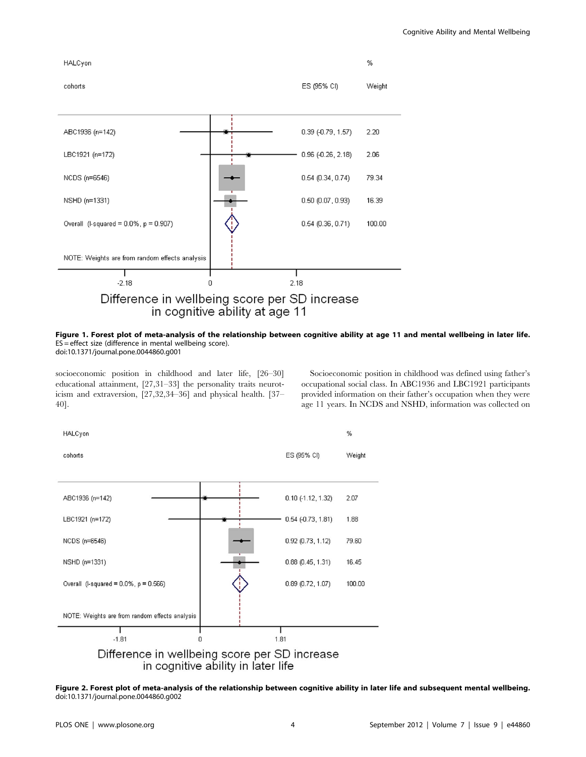

## Figure 1. Forest plot of meta-analysis of the relationship between cognitive ability at age 11 and mental wellbeing in later life. ES = effect size (difference in mental wellbeing score).

doi:10.1371/journal.pone.0044860.g001

socioeconomic position in childhood and later life, [26–30] educational attainment, [27,31–33] the personality traits neuroticism and extraversion, [27,32,34–36] and physical health. [37– 40].

Socioeconomic position in childhood was defined using father's occupational social class. In ABC1936 and LBC1921 participants provided information on their father's occupation when they were age 11 years. In NCDS and NSHD, information was collected on



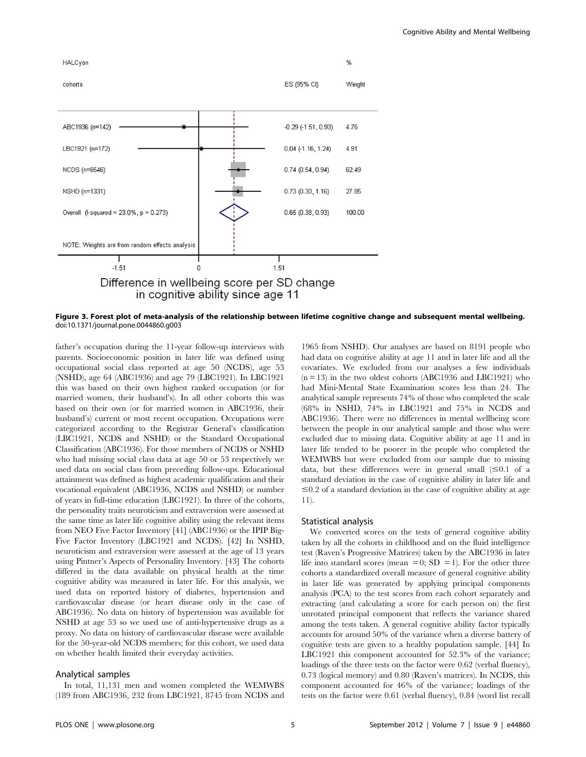

Figure 3. Forest plot of meta-analysis of the relationship between lifetime cognitive change and subsequent mental wellbeing. doi:10.1371/journal.pone.0044860.g003

father's occupation during the 11-year follow-up interviews with parents. Socioeconomic position in later life was defined using occupational social class reported at age 50 (NCDS), age 53 (NSHD), age 64 (ABC1936) and age 79 (LBC1921). In LBC1921 this was based on their own highest ranked occupation (or for married women, their husband's). In all other cohorts this was based on their own (or for married women in ABC1936, their husband's) current or most recent occupation. Occupations were categorized according to the Registrar General's classification (LBC1921, NCDS and NSHD) or the Standard Occupational Classification (ABC1936). For those members of NCDS or NSHD who had missing social class data at age 50 or 53 respectively we used data on social class from preceding follow-ups. Educational attainment was defined as highest academic qualification and their vocational equivalent (ABC1936, NCDS and NSHD) or number of years in full-time education (LBC1921). In three of the cohorts, the personality traits neuroticism and extraversion were assessed at the same time as later life cognitive ability using the relevant items from NEO Five Factor Inventory [41] (ABC1936) or the IPIP Big-Five Factor Inventory (LBC1921 and NCDS). [42] In NSHD, neuroticism and extraversion were assessed at the age of 13 years using Pintner's Aspects of Personality Inventory. [43] The cohorts differed in the data available on physical health at the time cognitive ability was measured in later life. For this analysis, we used data on reported history of diabetes, hypertension and cardiovascular disease (or heart disease only in the case of ABC1936). No data on history of hypertension was available for NSHD at age 53 so we used use of anti-hypertensive drugs as a proxy. No data on history of cardiovascular disease were available for the 50-year-old NCDS members; for this cohort, we used data on whether health limited their everyday activities.

#### Analytical samples

In total, 11,131 men and women completed the WEMWBS (189 from ABC1936, 232 from LBC1921, 8745 from NCDS and

1965 from NSHD). Our analyses are based on 8191 people who had data on cognitive ability at age 11 and in later life and all the covariates. We excluded from our analyses a few individuals  $(n = 13)$  in the two oldest cohorts (ABC1936 and LBC1921) who had Mini-Mental State Examination scores less than 24. The analytical sample represents 74% of those who completed the scale (68% in NSHD, 74% in LBC1921 and 75% in NCDS and ABC1936). There were no differences in mental wellbeing score between the people in our analytical sample and those who were excluded due to missing data. Cognitive ability at age 11 and in later life tended to be poorer in the people who completed the WEMWBS but were excluded from our sample due to missing data, but these differences were in general small  $(\leq 0.1$  of a standard deviation in the case of cognitive ability in later life and  $\leq 0.2$  of a standard deviation in the case of cognitive ability at age 11).

#### Statistical analysis

We converted scores on the tests of general cognitive ability taken by all the cohorts in childhood and on the fluid intelligence test (Raven's Progressive Matrices) taken by the ABC1936 in later life into standard scores (mean  $= 0$ ; SD  $= 1$ ). For the other three cohorts a standardized overall measure of general cognitive ability in later life was generated by applying principal components analysis (PCA) to the test scores from each cohort separately and extracting (and calculating a score for each person on) the first unrotated principal component that reflects the variance shared among the tests taken. A general cognitive ability factor typically accounts for around 50% of the variance when a diverse battery of cognitive tests are given to a healthy population sample. [44] In LBC1921 this component accounted for 52.3% of the variance; loadings of the three tests on the factor were 0.62 (verbal fluency), 0.73 (logical memory) and 0.80 (Raven's matrices). In NCDS, this component accounted for 46% of the variance; loadings of the tests on the factor were 0.61 (verbal fluency), 0.84 (word list recall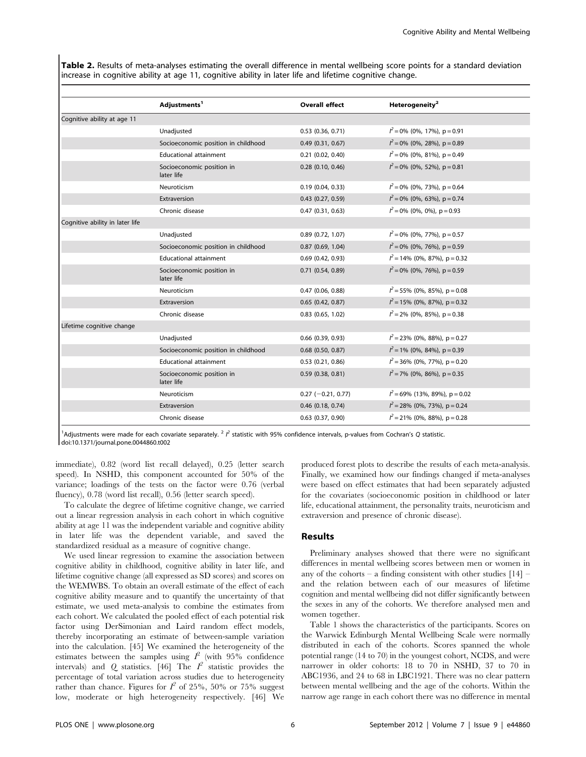Table 2. Results of meta-analyses estimating the overall difference in mental wellbeing score points for a standard deviation increase in cognitive ability at age 11, cognitive ability in later life and lifetime cognitive change.

|                                 | Adjustments <sup>1</sup>                | <b>Overall effect</b> | Heterogeneity <sup>2</sup>       |
|---------------------------------|-----------------------------------------|-----------------------|----------------------------------|
| Cognitive ability at age 11     |                                         |                       |                                  |
|                                 | Unadjusted                              | $0.53$ $(0.36, 0.71)$ | $l^2$ = 0% (0%, 17%), p = 0.91   |
|                                 | Socioeconomic position in childhood     | 0.49(0.31, 0.67)      | $l^2$ = 0% (0%, 28%), p = 0.89   |
|                                 | <b>Educational attainment</b>           | $0.21$ $(0.02, 0.40)$ | $l^2$ = 0% (0%, 81%), p = 0.49   |
|                                 | Socioeconomic position in<br>later life | $0.28$ (0.10, 0.46)   | $l^2$ = 0% (0%, 52%), p = 0.81   |
|                                 | Neuroticism                             | 0.19(0.04, 0.33)      | $l^2$ = 0% (0%, 73%), p = 0.64   |
|                                 | Extraversion                            | $0.43$ (0.27, 0.59)   | $l^2$ = 0% (0%, 63%), p = 0.74   |
|                                 | Chronic disease                         | 0.47(0.31, 0.63)      | $l^2 = 0\%$ (0%, 0%), p = 0.93   |
| Cognitive ability in later life |                                         |                       |                                  |
|                                 | Unadjusted                              | $0.89$ (0.72, 1.07)   | $l^2$ = 0% (0%, 77%), p = 0.57   |
|                                 | Socioeconomic position in childhood     | $0.87$ (0.69, 1.04)   | $l^2$ = 0% (0%, 76%), p = 0.59   |
|                                 | <b>Educational attainment</b>           | $0.69$ $(0.42, 0.93)$ | $l^2$ = 14% (0%, 87%), p = 0.32  |
|                                 | Socioeconomic position in<br>later life | $0.71$ $(0.54, 0.89)$ | $l^2$ = 0% (0%, 76%), p = 0.59   |
|                                 | Neuroticism                             | 0.47(0.06, 0.88)      | $l^2$ = 55% (0%, 85%), p = 0.08  |
|                                 | Extraversion                            | $0.65$ (0.42, 0.87)   | $l^2$ = 15% (0%, 87%), p = 0.32  |
|                                 | Chronic disease                         | $0.83$ (0.65, 1.02)   | $l^2$ = 2% (0%, 85%), p = 0.38   |
| Lifetime cognitive change       |                                         |                       |                                  |
|                                 | Unadjusted                              | $0.66$ (0.39, 0.93)   | $l^2$ = 23% (0%, 88%), p = 0.27  |
|                                 | Socioeconomic position in childhood     | $0.68$ (0.50, 0.87)   | $l^2$ = 1% (0%, 84%), p = 0.39   |
|                                 | <b>Educational attainment</b>           | $0.53$ $(0.21, 0.86)$ | $l^2$ = 36% (0%, 77%), p = 0.20  |
|                                 | Socioeconomic position in<br>later life | $0.59$ (0.38, 0.81)   | $l^2$ = 7% (0%, 86%), p = 0.35   |
|                                 | Neuroticism                             | $0.27$ (-0.21, 0.77)  | $l^2$ = 69% (13%, 89%), p = 0.02 |
|                                 | Extraversion                            | $0.46$ (0.18, 0.74)   | $l^2$ = 28% (0%, 73%), p = 0.24  |
|                                 | Chronic disease                         | $0.63$ $(0.37, 0.90)$ | $l^2$ = 21% (0%, 88%), p = 0.28  |

<sup>1</sup>Adjustments were made for each covariate separately. <sup>2</sup>  $I^2$  statistic with 95% confidence intervals, p-values from Cochran's Q statistic. doi:10.1371/journal.pone.0044860.t002

immediate), 0.82 (word list recall delayed), 0.25 (letter search speed). In NSHD, this component accounted for 50% of the variance; loadings of the tests on the factor were 0.76 (verbal fluency), 0.78 (word list recall), 0.56 (letter search speed).

To calculate the degree of lifetime cognitive change, we carried out a linear regression analysis in each cohort in which cognitive ability at age 11 was the independent variable and cognitive ability in later life was the dependent variable, and saved the standardized residual as a measure of cognitive change.

We used linear regression to examine the association between cognitive ability in childhood, cognitive ability in later life, and lifetime cognitive change (all expressed as SD scores) and scores on the WEMWBS. To obtain an overall estimate of the effect of each cognitive ability measure and to quantify the uncertainty of that estimate, we used meta-analysis to combine the estimates from each cohort. We calculated the pooled effect of each potential risk factor using DerSimonian and Laird random effect models, thereby incorporating an estimate of between-sample variation into the calculation. [45] We examined the heterogeneity of the estimates between the samples using  $\hat{I}^2$  (with 95% confidence intervals) and Q statistics. [46] The  $I^2$  statistic provides the percentage of total variation across studies due to heterogeneity rather than chance. Figures for  $I^2$  of 25%, 50% or 75% suggest low, moderate or high heterogeneity respectively. [46] We

produced forest plots to describe the results of each meta-analysis. Finally, we examined how our findings changed if meta-analyses were based on effect estimates that had been separately adjusted for the covariates (socioeconomic position in childhood or later life, educational attainment, the personality traits, neuroticism and extraversion and presence of chronic disease).

#### Results

Preliminary analyses showed that there were no significant differences in mental wellbeing scores between men or women in any of the cohorts – a finding consistent with other studies  $[14]$  – and the relation between each of our measures of lifetime cognition and mental wellbeing did not differ significantly between the sexes in any of the cohorts. We therefore analysed men and women together.

Table 1 shows the characteristics of the participants. Scores on the Warwick Edinburgh Mental Wellbeing Scale were normally distributed in each of the cohorts. Scores spanned the whole potential range (14 to 70) in the youngest cohort, NCDS, and were narrower in older cohorts: 18 to 70 in NSHD, 37 to 70 in ABC1936, and 24 to 68 in LBC1921. There was no clear pattern between mental wellbeing and the age of the cohorts. Within the narrow age range in each cohort there was no difference in mental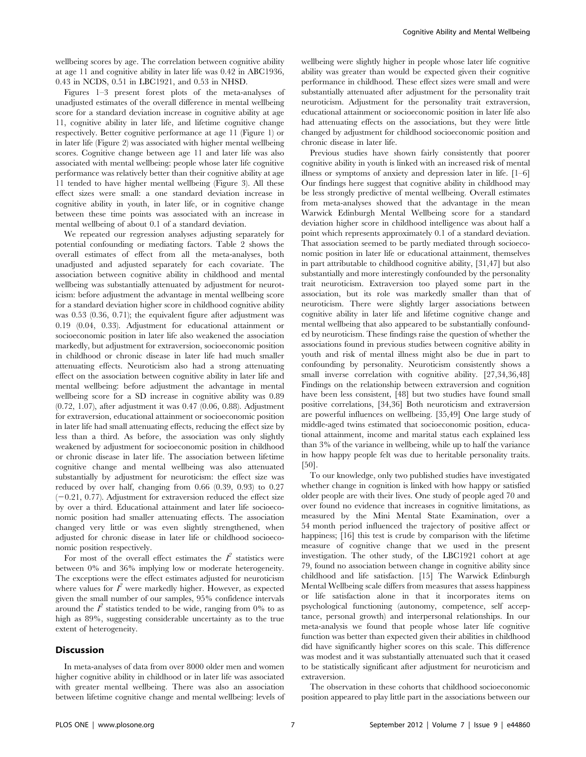wellbeing scores by age. The correlation between cognitive ability at age 11 and cognitive ability in later life was 0.42 in ABC1936, 0.43 in NCDS, 0.51 in LBC1921, and 0.53 in NHSD.

Figures 1–3 present forest plots of the meta-analyses of unadjusted estimates of the overall difference in mental wellbeing score for a standard deviation increase in cognitive ability at age 11, cognitive ability in later life, and lifetime cognitive change respectively. Better cognitive performance at age 11 (Figure 1) or in later life (Figure 2) was associated with higher mental wellbeing scores. Cognitive change between age 11 and later life was also associated with mental wellbeing: people whose later life cognitive performance was relatively better than their cognitive ability at age 11 tended to have higher mental wellbeing (Figure 3). All these effect sizes were small: a one standard deviation increase in cognitive ability in youth, in later life, or in cognitive change between these time points was associated with an increase in mental wellbeing of about 0.1 of a standard deviation.

We repeated our regression analyses adjusting separately for potential confounding or mediating factors. Table 2 shows the overall estimates of effect from all the meta-analyses, both unadjusted and adjusted separately for each covariate. The association between cognitive ability in childhood and mental wellbeing was substantially attenuated by adjustment for neuroticism: before adjustment the advantage in mental wellbeing score for a standard deviation higher score in childhood cognitive ability was 0.53 (0.36, 0.71); the equivalent figure after adjustment was 0.19 (0.04, 0.33). Adjustment for educational attainment or socioeconomic position in later life also weakened the association markedly, but adjustment for extraversion, socioeconomic position in childhood or chronic disease in later life had much smaller attenuating effects. Neuroticism also had a strong attenuating effect on the association between cognitive ability in later life and mental wellbeing: before adjustment the advantage in mental wellbeing score for a SD increase in cognitive ability was 0.89 (0.72, 1.07), after adjustment it was 0.47 (0.06, 0.88). Adjustment for extraversion, educational attainment or socioeconomic position in later life had small attenuating effects, reducing the effect size by less than a third. As before, the association was only slightly weakened by adjustment for socioeconomic position in childhood or chronic disease in later life. The association between lifetime cognitive change and mental wellbeing was also attenuated substantially by adjustment for neuroticism: the effect size was reduced by over half, changing from 0.66 (0.39, 0.93) to 0.27  $(-0.21, 0.77)$ . Adjustment for extraversion reduced the effect size by over a third. Educational attainment and later life socioeconomic position had smaller attenuating effects. The association changed very little or was even slightly strengthened, when adjusted for chronic disease in later life or childhood socioeconomic position respectively.

For most of the overall effect estimates the  $I^2$  statistics were between 0% and 36% implying low or moderate heterogeneity. The exceptions were the effect estimates adjusted for neuroticism where values for  $I^2$  were markedly higher. However, as expected given the small number of our samples, 95% confidence intervals around the  $I^2$  statistics tended to be wide, ranging from 0% to as high as 89%, suggesting considerable uncertainty as to the true extent of heterogeneity.

#### **Discussion**

In meta-analyses of data from over 8000 older men and women higher cognitive ability in childhood or in later life was associated with greater mental wellbeing. There was also an association between lifetime cognitive change and mental wellbeing: levels of wellbeing were slightly higher in people whose later life cognitive ability was greater than would be expected given their cognitive performance in childhood. These effect sizes were small and were substantially attenuated after adjustment for the personality trait neuroticism. Adjustment for the personality trait extraversion, educational attainment or socioeconomic position in later life also had attenuating effects on the associations, but they were little changed by adjustment for childhood socioeconomic position and chronic disease in later life.

Previous studies have shown fairly consistently that poorer cognitive ability in youth is linked with an increased risk of mental illness or symptoms of anxiety and depression later in life. [1–6] Our findings here suggest that cognitive ability in childhood may be less strongly predictive of mental wellbeing. Overall estimates from meta-analyses showed that the advantage in the mean Warwick Edinburgh Mental Wellbeing score for a standard deviation higher score in childhood intelligence was about half a point which represents approximately 0.1 of a standard deviation. That association seemed to be partly mediated through socioeconomic position in later life or educational attainment, themselves in part attributable to childhood cognitive ability, [31,47] but also substantially and more interestingly confounded by the personality trait neuroticism. Extraversion too played some part in the association, but its role was markedly smaller than that of neuroticism. There were slightly larger associations between cognitive ability in later life and lifetime cognitive change and mental wellbeing that also appeared to be substantially confounded by neuroticism. These findings raise the question of whether the associations found in previous studies between cognitive ability in youth and risk of mental illness might also be due in part to confounding by personality. Neuroticism consistently shows a small inverse correlation with cognitive ability. [27,34,36,48] Findings on the relationship between extraversion and cognition have been less consistent, [48] but two studies have found small positive correlations, [34,36] Both neuroticism and extraversion are powerful influences on wellbeing. [35,49] One large study of middle-aged twins estimated that socioeconomic position, educational attainment, income and marital status each explained less than 3% of the variance in wellbeing, while up to half the variance in how happy people felt was due to heritable personality traits. [50].

To our knowledge, only two published studies have investigated whether change in cognition is linked with how happy or satisfied older people are with their lives. One study of people aged 70 and over found no evidence that increases in cognitive limitations, as measured by the Mini Mental State Examination, over a 54 month period influenced the trajectory of positive affect or happiness; [16] this test is crude by comparison with the lifetime measure of cognitive change that we used in the present investigation. The other study, of the LBC1921 cohort at age 79, found no association between change in cognitive ability since childhood and life satisfaction. [15] The Warwick Edinburgh Mental Wellbeing scale differs from measures that assess happiness or life satisfaction alone in that it incorporates items on psychological functioning (autonomy, competence, self acceptance, personal growth) and interpersonal relationships. In our meta-analysis we found that people whose later life cognitive function was better than expected given their abilities in childhood did have significantly higher scores on this scale. This difference was modest and it was substantially attenuated such that it ceased to be statistically significant after adjustment for neuroticism and extraversion.

The observation in these cohorts that childhood socioeconomic position appeared to play little part in the associations between our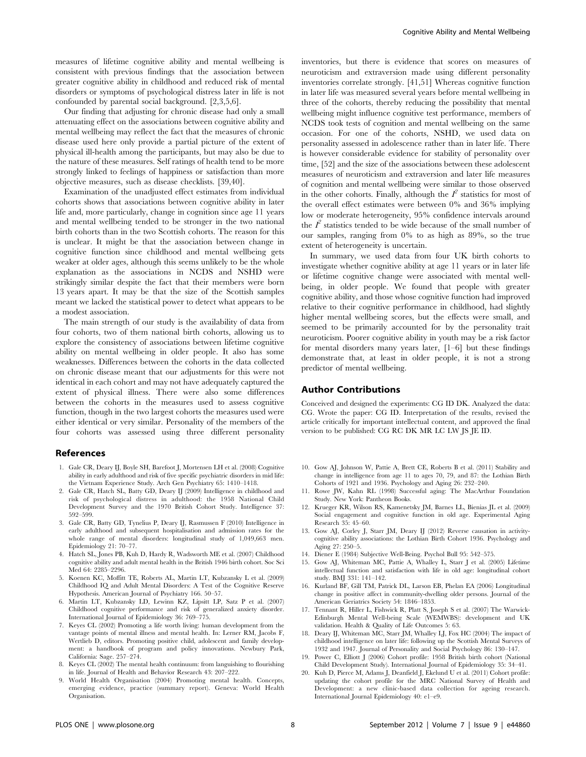measures of lifetime cognitive ability and mental wellbeing is consistent with previous findings that the association between greater cognitive ability in childhood and reduced risk of mental disorders or symptoms of psychological distress later in life is not confounded by parental social background. [2,3,5,6].

Our finding that adjusting for chronic disease had only a small attenuating effect on the associations between cognitive ability and mental wellbeing may reflect the fact that the measures of chronic disease used here only provide a partial picture of the extent of physical ill-health among the participants, but may also be due to the nature of these measures. Self ratings of health tend to be more strongly linked to feelings of happiness or satisfaction than more objective measures, such as disease checklists. [39,40].

Examination of the unadjusted effect estimates from individual cohorts shows that associations between cognitive ability in later life and, more particularly, change in cognition since age 11 years and mental wellbeing tended to be stronger in the two national birth cohorts than in the two Scottish cohorts. The reason for this is unclear. It might be that the association between change in cognitive function since childhood and mental wellbeing gets weaker at older ages, although this seems unlikely to be the whole explanation as the associations in NCDS and NSHD were strikingly similar despite the fact that their members were born 13 years apart. It may be that the size of the Scottish samples meant we lacked the statistical power to detect what appears to be a modest association.

The main strength of our study is the availability of data from four cohorts, two of them national birth cohorts, allowing us to explore the consistency of associations between lifetime cognitive ability on mental wellbeing in older people. It also has some weaknesses. Differences between the cohorts in the data collected on chronic disease meant that our adjustments for this were not identical in each cohort and may not have adequately captured the extent of physical illness. There were also some differences between the cohorts in the measures used to assess cognitive function, though in the two largest cohorts the measures used were either identical or very similar. Personality of the members of the four cohorts was assessed using three different personality

#### References

- 1. Gale CR, Deary IJ, Boyle SH, Barefoot J, Mortensen LH et al. (2008) Cognitive ability in early adulthood and risk of five specific psychiatric disorders in mid life: the Vietnam Experience Study. Arch Gen Psychiatry 65: 1410–1418.
- 2. Gale CR, Hatch SL, Batty GD, Deary IJ (2009) Intelligence in childhood and risk of psychological distress in adulthood: the 1958 National Child Development Survey and the 1970 British Cohort Study. Intelligence 37: 592–599.
- 3. Gale CR, Batty GD, Tynelius P, Deary IJ, Rasmussen F (2010) Intelligence in early adulthood and subsequent hospitalisation and admission rates for the whole range of mental disorders: longitudinal study of 1,049,663 men. Epidemiology 21: 70–77.
- 4. Hatch SL, Jones PB, Kuh D, Hardy R, Wadsworth ME et al. (2007) Childhood cognitive ability and adult mental health in the British 1946 birth cohort. Soc Sci Med 64: 2285–2296.
- 5. Koenen KC, Moffitt TE, Roberts AL, Martin LT, Kubzansky L et al. (2009) Childhood IQ and Adult Mental Disorders: A Test of the Cognitive Reserve Hypothesis. American Journal of Psychiatry 166. 50–57.
- 6. Martin LT, Kubzansky LD, Lewinn KZ, Lipsitt LP, Satz P et al. (2007) Childhood cognitive performance and risk of generalized anxiety disorder. International Journal of Epidemiology 36: 769–775.
- 7. Keyes CL (2002) Promoting a life worth living: human development from the vantage points of mental illness and mental health. In: Lerner RM, Jacobs F, Wertlieb D, editors. Promoting positive child, adolescent and family development: a handbook of program and policy innovations. Newbury Park, California: Sage. 257–274.
- 8. Keyes CL (2002) The mental health continuum: from languishing to flourishing in life. Journal of Health and Behavior Research 43: 207–222.
- 9. World Health Organisation (2004) Promoting mental health. Concepts, emerging evidence, practice (summary report). Geneva: World Health **Organisation**

inventories, but there is evidence that scores on measures of neuroticism and extraversion made using different personality inventories correlate strongly. [41,51] Whereas cognitive function in later life was measured several years before mental wellbeing in three of the cohorts, thereby reducing the possibility that mental wellbeing might influence cognitive test performance, members of NCDS took tests of cognition and mental wellbeing on the same occasion. For one of the cohorts, NSHD, we used data on personality assessed in adolescence rather than in later life. There is however considerable evidence for stability of personality over time, [52] and the size of the associations between these adolescent measures of neuroticism and extraversion and later life measures of cognition and mental wellbeing were similar to those observed in the other cohorts. Finally, although the  $I^2$  statistics for most of the overall effect estimates were between 0% and 36% implying low or moderate heterogeneity, 95% confidence intervals around the  $I^2$  statistics tended to be wide because of the small number of our samples, ranging from 0% to as high as 89%, so the true extent of heterogeneity is uncertain.

In summary, we used data from four UK birth cohorts to investigate whether cognitive ability at age 11 years or in later life or lifetime cognitive change were associated with mental wellbeing, in older people. We found that people with greater cognitive ability, and those whose cognitive function had improved relative to their cognitive performance in childhood, had slightly higher mental wellbeing scores, but the effects were small, and seemed to be primarily accounted for by the personality trait neuroticism. Poorer cognitive ability in youth may be a risk factor for mental disorders many years later, [1–6] but these findings demonstrate that, at least in older people, it is not a strong predictor of mental wellbeing.

#### Author Contributions

Conceived and designed the experiments: CG ID DK. Analyzed the data: CG. Wrote the paper: CG ID. Interpretation of the results, revised the article critically for important intellectual content, and approved the final version to be published: CG RC DK MR LC LW JS JE ID.

- 10. Gow AJ, Johnson W, Pattie A, Brett CE, Roberts B et al. (2011) Stability and change in intelligence from age 11 to ages 70, 79, and 87: the Lothian Birth Cohorts of 1921 and 1936. Psychology and Aging 26: 232–240.
- 11. Rowe JW, Kahn RL (1998) Successful aging: The MacArthur Foundation Study. New York: Pantheon Books.
- 12. Krueger KR, Wilson RS, Kamenetsky JM, Barnes LL, Bienias JL et al. (2009) Social engagement and cognitive function in old age. Experimental Aging Research 35: 45–60.
- 13. Gow AJ, Corley J, Starr JM, Deary IJ (2012) Reverse causation in activitycognitive ability associations: the Lothian Birth Cohort 1936. Psychology and Aging 27: 250–5.
- 14. Diener E (1984) Subjective Well-Being. Psychol Bull 95: 542–575.
- 15. Gow AJ, Whiteman MC, Pattie A, Whalley L, Starr J et al. (2005) Lifetime intellectual function and satisfaction with life in old age: longitudinal cohort study. BMJ 331: 141–142.
- 16. Kurland BF, Gill TM, Patrick DL, Larson EB, Phelan EA (2006) Longitudinal change in positive affect in community-dwelling older persons. Journal of the American Geriatrics Society 54: 1846–1853.
- 17. Tennant R, Hiller L, Fishwick R, Platt S, Joseph S et al. (2007) The Warwick-Edinburgh Mental Well-being Scale (WEMWBS): development and UK validation. Health & Quality of Life Outcomes 5: 63.
- 18. Deary IJ, Whiteman MC, Starr JM, Whalley LJ, Fox HC (2004) The impact of childhood intelligence on later life: following up the Scottish Mental Surveys of 1932 and 1947. Journal of Personality and Social Psychology 86: 130–147.
- 19. Power C, Elliott J (2006) Cohort profile: 1958 British birth cohort (National Child Development Study). International Journal of Epidemiology 35: 34–41.
- 20. Kuh D, Pierce M, Adams J, Deanfield J, Ekelund U et al. (2011) Cohort profile: updating the cohort profile for the MRC National Survey of Health and Development: a new clinic-based data collection for ageing research. International Journal Epidemiology 40: e1–e9.